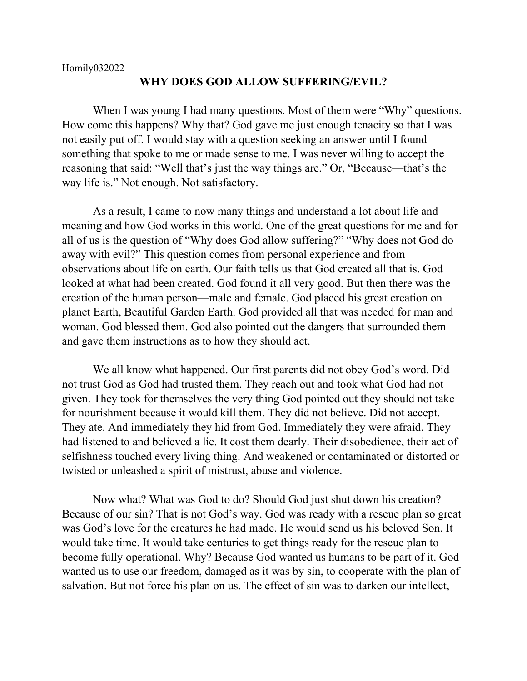## **WHY DOES GOD ALLOW SUFFERING/EVIL?**

When I was young I had many questions. Most of them were "Why" questions. How come this happens? Why that? God gave me just enough tenacity so that I was not easily put off. I would stay with a question seeking an answer until I found something that spoke to me or made sense to me. I was never willing to accept the reasoning that said: "Well that's just the way things are." Or, "Because—that's the way life is." Not enough. Not satisfactory.

As a result, I came to now many things and understand a lot about life and meaning and how God works in this world. One of the great questions for me and for all of us is the question of "Why does God allow suffering?" "Why does not God do away with evil?" This question comes from personal experience and from observations about life on earth. Our faith tells us that God created all that is. God looked at what had been created. God found it all very good. But then there was the creation of the human person—male and female. God placed his great creation on planet Earth, Beautiful Garden Earth. God provided all that was needed for man and woman. God blessed them. God also pointed out the dangers that surrounded them and gave them instructions as to how they should act.

We all know what happened. Our first parents did not obey God's word. Did not trust God as God had trusted them. They reach out and took what God had not given. They took for themselves the very thing God pointed out they should not take for nourishment because it would kill them. They did not believe. Did not accept. They ate. And immediately they hid from God. Immediately they were afraid. They had listened to and believed a lie. It cost them dearly. Their disobedience, their act of selfishness touched every living thing. And weakened or contaminated or distorted or twisted or unleashed a spirit of mistrust, abuse and violence.

Now what? What was God to do? Should God just shut down his creation? Because of our sin? That is not God's way. God was ready with a rescue plan so great was God's love for the creatures he had made. He would send us his beloved Son. It would take time. It would take centuries to get things ready for the rescue plan to become fully operational. Why? Because God wanted us humans to be part of it. God wanted us to use our freedom, damaged as it was by sin, to cooperate with the plan of salvation. But not force his plan on us. The effect of sin was to darken our intellect,